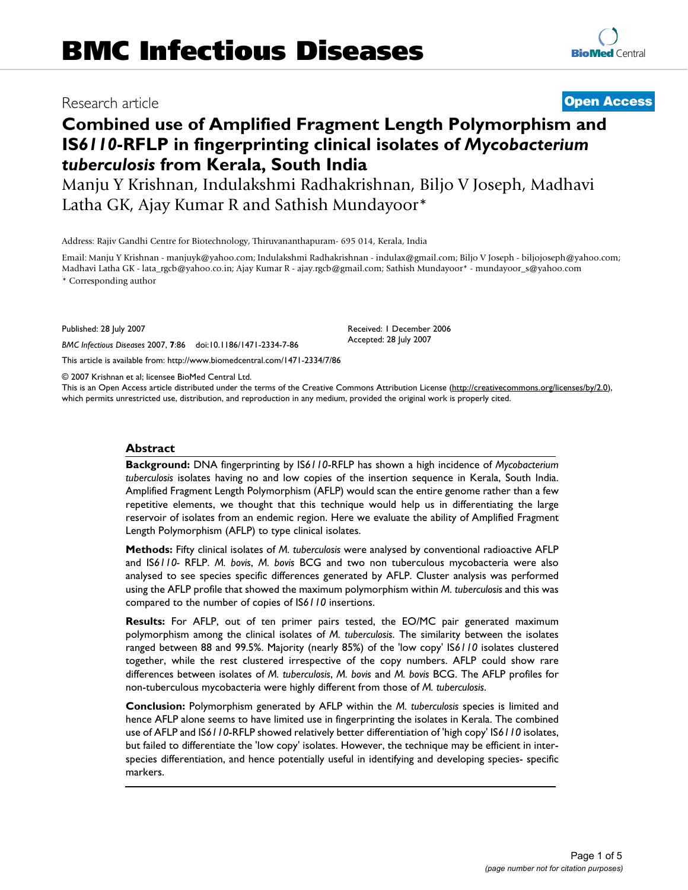# Research article **[Open Access](http://www.biomedcentral.com/info/about/charter/)**

# **Combined use of Amplified Fragment Length Polymorphism and IS***6110***-RFLP in fingerprinting clinical isolates of** *Mycobacterium tuberculosis* **from Kerala, South India**

Manju Y Krishnan, Indulakshmi Radhakrishnan, Biljo V Joseph, Madhavi Latha GK, Ajay Kumar R and Sathish Mundayoor\*

Address: Rajiv Gandhi Centre for Biotechnology, Thiruvananthapuram- 695 014, Kerala, India

Email: Manju Y Krishnan - manjuyk@yahoo.com; Indulakshmi Radhakrishnan - indulax@gmail.com; Biljo V Joseph - biljojoseph@yahoo.com; Madhavi Latha GK - lata\_rgcb@yahoo.co.in; Ajay Kumar R - ajay.rgcb@gmail.com; Sathish Mundayoor\* - mundayoor\_s@yahoo.com \* Corresponding author

> Received: 1 December 2006 Accepted: 28 July 2007

Published: 28 July 2007

*BMC Infectious Diseases* 2007, **7**:86 doi:10.1186/1471-2334-7-86

[This article is available from: http://www.biomedcentral.com/1471-2334/7/86](http://www.biomedcentral.com/1471-2334/7/86)

© 2007 Krishnan et al; licensee BioMed Central Ltd.

This is an Open Access article distributed under the terms of the Creative Commons Attribution License [\(http://creativecommons.org/licenses/by/2.0\)](http://creativecommons.org/licenses/by/2.0), which permits unrestricted use, distribution, and reproduction in any medium, provided the original work is properly cited.

#### **Abstract**

**Background:** DNA fingerprinting by IS*6110*-RFLP has shown a high incidence of *Mycobacterium tuberculosis* isolates having no and low copies of the insertion sequence in Kerala, South India. Amplified Fragment Length Polymorphism (AFLP) would scan the entire genome rather than a few repetitive elements, we thought that this technique would help us in differentiating the large reservoir of isolates from an endemic region. Here we evaluate the ability of Amplified Fragment Length Polymorphism (AFLP) to type clinical isolates.

**Methods:** Fifty clinical isolates of *M. tuberculosis* were analysed by conventional radioactive AFLP and IS*6110-* RFLP. *M. bovis*, *M. bovis* BCG and two non tuberculous mycobacteria were also analysed to see species specific differences generated by AFLP. Cluster analysis was performed using the AFLP profile that showed the maximum polymorphism within *M. tuberculosis* and this was compared to the number of copies of IS*6110* insertions.

**Results:** For AFLP, out of ten primer pairs tested, the EO/MC pair generated maximum polymorphism among the clinical isolates of *M. tuberculosis*. The similarity between the isolates ranged between 88 and 99.5%. Majority (nearly 85%) of the 'low copy' IS*6110* isolates clustered together, while the rest clustered irrespective of the copy numbers. AFLP could show rare differences between isolates of *M. tuberculosis*, *M. bovis* and *M. bovis* BCG. The AFLP profiles for non-tuberculous mycobacteria were highly different from those of *M. tuberculosis*.

**Conclusion:** Polymorphism generated by AFLP within the *M. tuberculosis* species is limited and hence AFLP alone seems to have limited use in fingerprinting the isolates in Kerala. The combined use of AFLP and IS*6110*-RFLP showed relatively better differentiation of 'high copy' IS*6110* isolates, but failed to differentiate the 'low copy' isolates. However, the technique may be efficient in interspecies differentiation, and hence potentially useful in identifying and developing species- specific markers.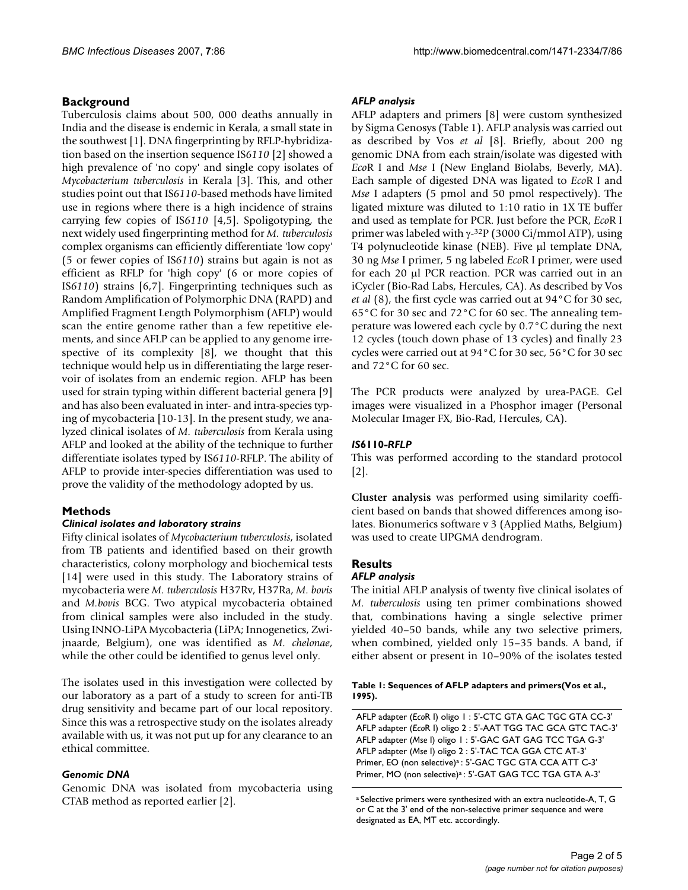# **Background**

Tuberculosis claims about 500, 000 deaths annually in India and the disease is endemic in Kerala, a small state in the southwest [1]. DNA fingerprinting by RFLP-hybridization based on the insertion sequence IS*6110* [2] showed a high prevalence of 'no copy' and single copy isolates of *Mycobacterium tuberculosis* in Kerala [3]. This, and other studies point out that IS*6110*-based methods have limited use in regions where there is a high incidence of strains carrying few copies of IS*6110* [4,5]. Spoligotyping, the next widely used fingerprinting method for *M. tuberculosis* complex organisms can efficiently differentiate 'low copy' (5 or fewer copies of IS*6110*) strains but again is not as efficient as RFLP for 'high copy' (6 or more copies of IS*6110*) strains [6,7]. Fingerprinting techniques such as Random Amplification of Polymorphic DNA (RAPD) and Amplified Fragment Length Polymorphism (AFLP) would scan the entire genome rather than a few repetitive elements, and since AFLP can be applied to any genome irrespective of its complexity [8], we thought that this technique would help us in differentiating the large reservoir of isolates from an endemic region. AFLP has been used for strain typing within different bacterial genera [9] and has also been evaluated in inter- and intra-species typing of mycobacteria [10-13]. In the present study, we analyzed clinical isolates of *M. tuberculosis* from Kerala using AFLP and looked at the ability of the technique to further differentiate isolates typed by IS*6110*-RFLP. The ability of AFLP to provide inter-species differentiation was used to prove the validity of the methodology adopted by us.

# **Methods**

### *Clinical isolates and laboratory strains*

Fifty clinical isolates of *Mycobacterium tuberculosis*, isolated from TB patients and identified based on their growth characteristics, colony morphology and biochemical tests [14] were used in this study. The Laboratory strains of mycobacteria were *M. tuberculosis* H37Rv, H37Ra, *M. bovis* and *M.bovis* BCG. Two atypical mycobacteria obtained from clinical samples were also included in the study. Using INNO-LiPA Mycobacteria (LiPA; Innogenetics, Zwijnaarde, Belgium), one was identified as *M. chelonae*, while the other could be identified to genus level only.

The isolates used in this investigation were collected by our laboratory as a part of a study to screen for anti-TB drug sensitivity and became part of our local repository. Since this was a retrospective study on the isolates already available with us, it was not put up for any clearance to an ethical committee.

### *Genomic DNA*

Genomic DNA was isolated from mycobacteria using CTAB method as reported earlier [2].

### *AFLP analysis*

AFLP adapters and primers [8] were custom synthesized by Sigma Genosys (Table 1). AFLP analysis was carried out as described by Vos *et al* [8]. Briefly, about 200 ng genomic DNA from each strain/isolate was digested with *Eco*R I and *Mse* I (New England Biolabs, Beverly, MA). Each sample of digested DNA was ligated to *Eco*R I and *Mse* I adapters (5 pmol and 50 pmol respectively). The ligated mixture was diluted to 1:10 ratio in 1X TE buffer and used as template for PCR. Just before the PCR, *Eco*R I primer was labeled with  $\gamma$ -<sup>32</sup>P (3000 Ci/mmol ATP), using T4 polynucleotide kinase (NEB). Five µl template DNA, 30 ng *Mse* I primer, 5 ng labeled *Eco*R I primer, were used for each 20 µl PCR reaction. PCR was carried out in an iCycler (Bio-Rad Labs, Hercules, CA). As described by Vos *et al* (8), the first cycle was carried out at 94°C for 30 sec, 65°C for 30 sec and 72°C for 60 sec. The annealing temperature was lowered each cycle by 0.7°C during the next 12 cycles (touch down phase of 13 cycles) and finally 23 cycles were carried out at 94°C for 30 sec, 56°C for 30 sec and 72°C for 60 sec.

The PCR products were analyzed by urea-PAGE. Gel images were visualized in a Phosphor imager (Personal Molecular Imager FX, Bio-Rad, Hercules, CA).

# *IS***6110***-RFLP*

This was performed according to the standard protocol [2].

**Cluster analysis** was performed using similarity coefficient based on bands that showed differences among isolates. Bionumerics software v 3 (Applied Maths, Belgium) was used to create UPGMA dendrogram.

# **Results**

# *AFLP analysis*

The initial AFLP analysis of twenty five clinical isolates of *M. tuberculosis* using ten primer combinations showed that, combinations having a single selective primer yielded 40–50 bands, while any two selective primers, when combined, yielded only 15–35 bands. A band, if either absent or present in 10–90% of the isolates tested

#### **Table 1: Sequences of AFLP adapters and primers(Vos et al., 1995).**

AFLP adapter (*Eco*R I) oligo 1 : 5'-CTC GTA GAC TGC GTA CC-3' AFLP adapter (*Eco*R I) oligo 2 : 5'-AAT TGG TAC GCA GTC TAC-3' AFLP adapter (*Mse* I) oligo 1 : 5'-GAC GAT GAG TCC TGA G-3' AFLP adapter (*Mse* I) oligo 2 : 5'-TAC TCA GGA CTC AT-3' Primer, EO (non selective)<sup>a</sup> : 5'-GAC TGC GTA CCA ATT C-3' Primer, MO (non selective)<sup>a</sup> : 5'-GAT GAG TCC TGA GTA A-3'

a Selective primers were synthesized with an extra nucleotide-A, T, G or C at the 3' end of the non-selective primer sequence and were designated as EA, MT etc. accordingly.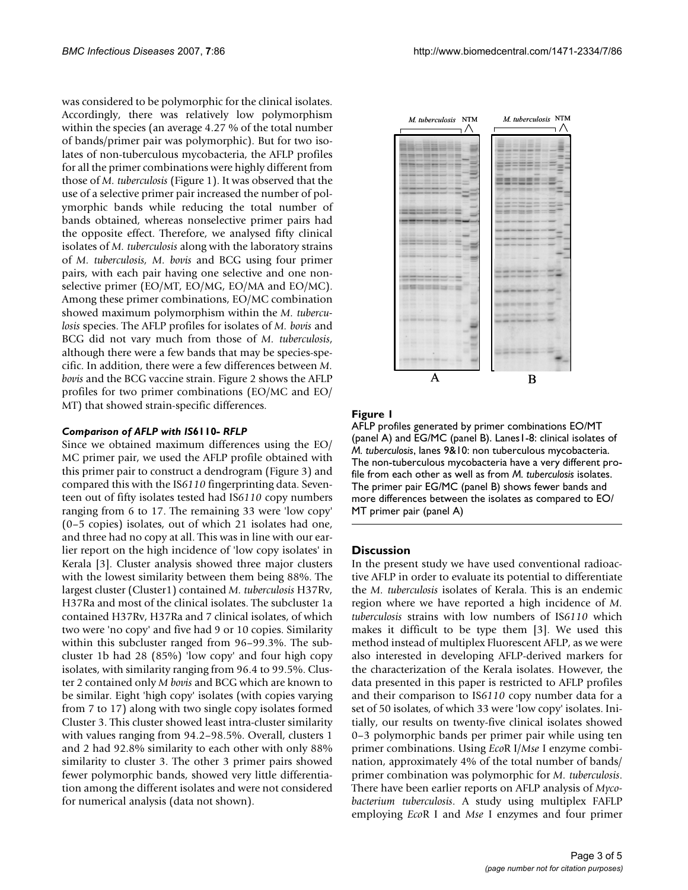was considered to be polymorphic for the clinical isolates. Accordingly, there was relatively low polymorphism within the species (an average 4.27 % of the total number of bands/primer pair was polymorphic). But for two isolates of non-tuberculous mycobacteria, the AFLP profiles for all the primer combinations were highly different from those of *M. tuberculosis* (Figure 1). It was observed that the use of a selective primer pair increased the number of polymorphic bands while reducing the total number of bands obtained, whereas nonselective primer pairs had the opposite effect. Therefore, we analysed fifty clinical isolates of *M. tuberculosis* along with the laboratory strains of *M. tuberculosis, M. bovis* and BCG using four primer pairs, with each pair having one selective and one nonselective primer (EO/MT, EO/MG, EO/MA and EO/MC). Among these primer combinations, EO/MC combination showed maximum polymorphism within the *M. tuberculosis* species. The AFLP profiles for isolates of *M. bovis* and BCG did not vary much from those of *M. tuberculosis*, although there were a few bands that may be species-specific. In addition, there were a few differences between *M. bovis* and the BCG vaccine strain. Figure 2 shows the AFLP profiles for two primer combinations (EO/MC and EO/ MT) that showed strain-specific differences.

#### *Comparison of AFLP with IS***6110***- RFLP*

Since we obtained maximum differences using the EO/ MC primer pair, we used the AFLP profile obtained with this primer pair to construct a dendrogram (Figure 3) and compared this with the IS*6110* fingerprinting data. Seventeen out of fifty isolates tested had IS*6110* copy numbers ranging from 6 to 17. The remaining 33 were 'low copy' (0–5 copies) isolates, out of which 21 isolates had one, and three had no copy at all. This was in line with our earlier report on the high incidence of 'low copy isolates' in Kerala [3]. Cluster analysis showed three major clusters with the lowest similarity between them being 88%. The largest cluster (Cluster1) contained *M. tuberculosis* H37Rv, H37Ra and most of the clinical isolates. The subcluster 1a contained H37Rv, H37Ra and 7 clinical isolates, of which two were 'no copy' and five had 9 or 10 copies. Similarity within this subcluster ranged from 96–99.3%. The subcluster 1b had 28 (85%) 'low copy' and four high copy isolates, with similarity ranging from 96.4 to 99.5%. Cluster 2 contained only *M bovis* and BCG which are known to be similar. Eight 'high copy' isolates (with copies varying from 7 to 17) along with two single copy isolates formed Cluster 3. This cluster showed least intra-cluster similarity with values ranging from 94.2–98.5%. Overall, clusters 1 and 2 had 92.8% similarity to each other with only 88% similarity to cluster 3. The other 3 primer pairs showed fewer polymorphic bands, showed very little differentiation among the different isolates and were not considered for numerical analysis (data not shown).



### Figure 1

AFLP profiles generated by primer combinations EO/MT (panel A) and EG/MC (panel B). Lanes I-8: clinical isolates of *M. tuberculosis*, lanes 9&10: non tuberculous mycobacteria. The non-tuberculous mycobacteria have a very different profile from each other as well as from *M. tuberculosis* isolates. The primer pair EG/MC (panel B) shows fewer bands and more differences between the isolates as compared to EO/ MT primer pair (panel A)

### **Discussion**

In the present study we have used conventional radioactive AFLP in order to evaluate its potential to differentiate the *M. tuberculosis* isolates of Kerala. This is an endemic region where we have reported a high incidence of *M. tuberculosis* strains with low numbers of IS*6110* which makes it difficult to be type them [3]. We used this method instead of multiplex Fluorescent AFLP, as we were also interested in developing AFLP-derived markers for the characterization of the Kerala isolates. However, the data presented in this paper is restricted to AFLP profiles and their comparison to IS*6110* copy number data for a set of 50 isolates, of which 33 were 'low copy' isolates. Initially, our results on twenty-five clinical isolates showed 0–3 polymorphic bands per primer pair while using ten primer combinations. Using *Eco*R I/*Mse* I enzyme combination, approximately 4% of the total number of bands/ primer combination was polymorphic for *M. tuberculosis*. There have been earlier reports on AFLP analysis of *Mycobacterium tuberculosis*. A study using multiplex FAFLP employing *Eco*R I and *Mse* I enzymes and four primer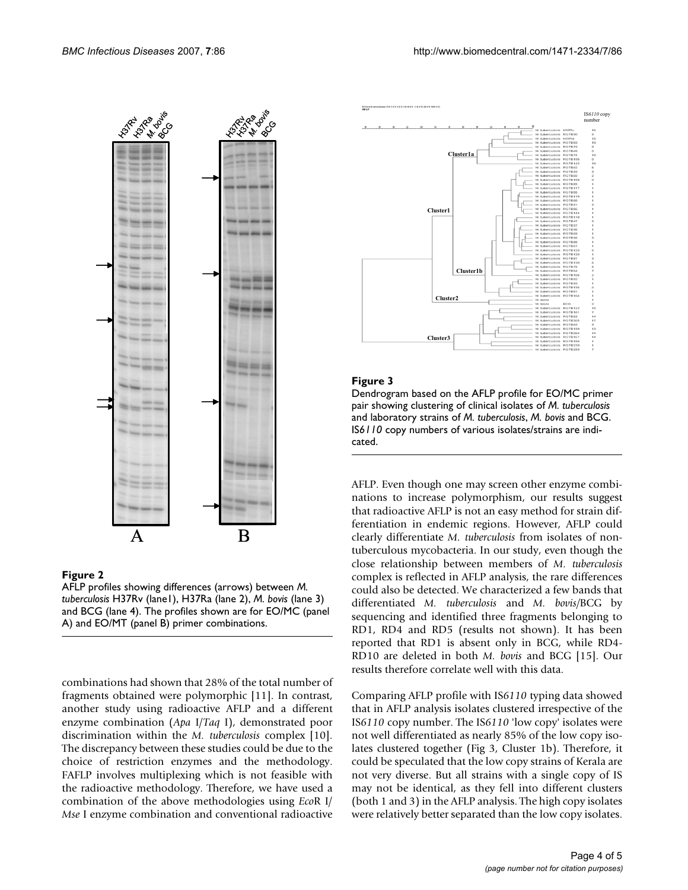

#### Figure 2

AFLP profiles showing differences (arrows) between *M. tuberculosis* H37Rv (lane1), H37Ra (lane 2), *M. bovis* (lane 3) and BCG (lane 4). The profiles shown are for EO/MC (panel A) and EO/MT (panel B) primer combinations.

combinations had shown that 28% of the total number of fragments obtained were polymorphic [11]. In contrast, another study using radioactive AFLP and a different enzyme combination (*Apa* I/*Taq* I), demonstrated poor discrimination within the *M. tuberculosis* complex [10]. The discrepancy between these studies could be due to the choice of restriction enzymes and the methodology. FAFLP involves multiplexing which is not feasible with the radioactive methodology. Therefore, we have used a combination of the above methodologies using *Eco*R I/ *Mse* I enzyme combination and conventional radioactive



### **Figure 3**

Dendrogram based on the AFLP profile for EO/MC primer pair showing clustering of clinical isolates of *M. tuberculosis*  and laboratory strains of *M. tuberculosis*, *M. bovis* and BCG. IS*6110* copy numbers of various isolates/strains are indicated.

AFLP. Even though one may screen other enzyme combinations to increase polymorphism, our results suggest that radioactive AFLP is not an easy method for strain differentiation in endemic regions. However, AFLP could clearly differentiate *M. tuberculosis* from isolates of nontuberculous mycobacteria. In our study, even though the close relationship between members of *M. tuberculosis* complex is reflected in AFLP analysis, the rare differences could also be detected. We characterized a few bands that differentiated *M. tuberculosis* and *M. bovis/*BCG by sequencing and identified three fragments belonging to RD1, RD4 and RD5 (results not shown). It has been reported that RD1 is absent only in BCG, while RD4- RD10 are deleted in both *M. bovis* and BCG [15]. Our results therefore correlate well with this data.

Comparing AFLP profile with IS*6110* typing data showed that in AFLP analysis isolates clustered irrespective of the IS*6110* copy number. The IS*6110* 'low copy' isolates were not well differentiated as nearly 85% of the low copy isolates clustered together (Fig 3, Cluster 1b). Therefore, it could be speculated that the low copy strains of Kerala are not very diverse. But all strains with a single copy of IS may not be identical, as they fell into different clusters (both 1 and 3) in the AFLP analysis. The high copy isolates were relatively better separated than the low copy isolates.